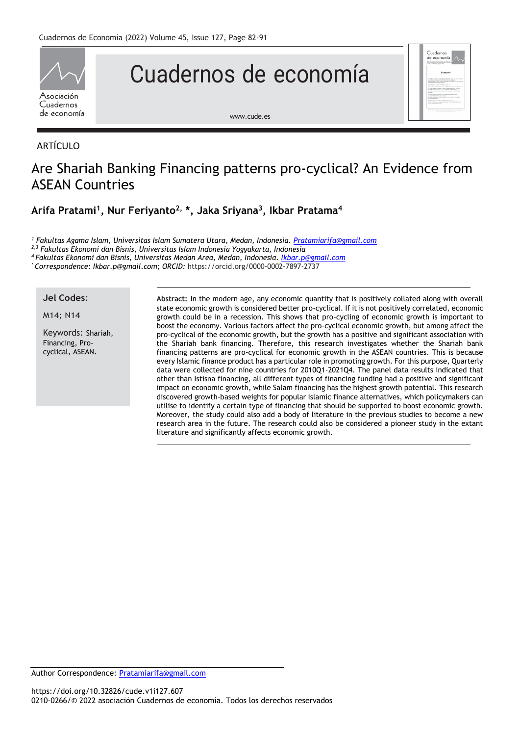

# Cuadernos de economía

[www.cude.es](http://www.cude.es/)

# ARTÍCULO

# Are Shariah Banking Financing patterns pro-cyclical? An Evidence from ASEAN Countries

**Arifa Pratami<sup>1</sup> , Nur Feriyanto2, \*, Jaka Sriyana<sup>3</sup> , Ikbar Pratama<sup>4</sup>**

*<sup>1</sup> Fakultas Agama Islam, Universitas Islam Sumatera Utara, Medan, Indonesia. [Pratamiarifa@gmail.com](mailto:Pratamiarifa@gmail.com)*

*2,3 Fakultas Ekonomi dan Bisnis, Universitas Islam Indonesia Yogyakarta, Indonesia*

*<sup>4</sup> Fakultas Ekonomi dan Bisnis, Universitas Medan Area, Medan, Indonesia. [Ikbar.p@gmail.com](mailto:Ikbar.p@gmail.com)*

*\* Correspondence: Ikbar.p@gmail.com; ORCID:* [https://orcid.org/0000-0002-7897-2737](https://www.scopus.com/redirect.uri?url=https://orcid.org/0000-0002-7897-2737&authorId=57220929541&origin=AuthorProfile&orcId=0000-0002-7897-2737&category=orcidLink)

# **Jel Codes**:

M14; N14

Keywords: Shariah, Financing, Procyclical, ASEAN.

**Abstract:** In the modern age, any economic quantity that is positively collated along with overall state economic growth is considered better pro-cyclical. If it is not positively correlated, economic growth could be in a recession. This shows that pro-cycling of economic growth is important to boost the economy. Various factors affect the pro-cyclical economic growth, but among affect the pro-cyclical of the economic growth, but the growth has a positive and significant association with the Shariah bank financing. Therefore, this research investigates whether the Shariah bank financing patterns are pro-cyclical for economic growth in the ASEAN countries. This is because every Islamic finance product has a particular role in promoting growth. For this purpose, Quarterly data were collected for nine countries for 2010Q1-2021Q4. The panel data results indicated that other than Istisna financing, all different types of financing funding had a positive and significant impact on economic growth, while Salam financing has the highest growth potential. This research discovered growth-based weights for popular Islamic finance alternatives, which policymakers can utilise to identify a certain type of financing that should be supported to boost economic growth. Moreover, the study could also add a body of literature in the previous studies to become a new research area in the future. The research could also be considered a pioneer study in the extant literature and significantly affects economic growth.

Cuadernos

Author Correspondence: [Pratamiarifa@gmail.com](mailto:Pratamiarifa@gmail.com)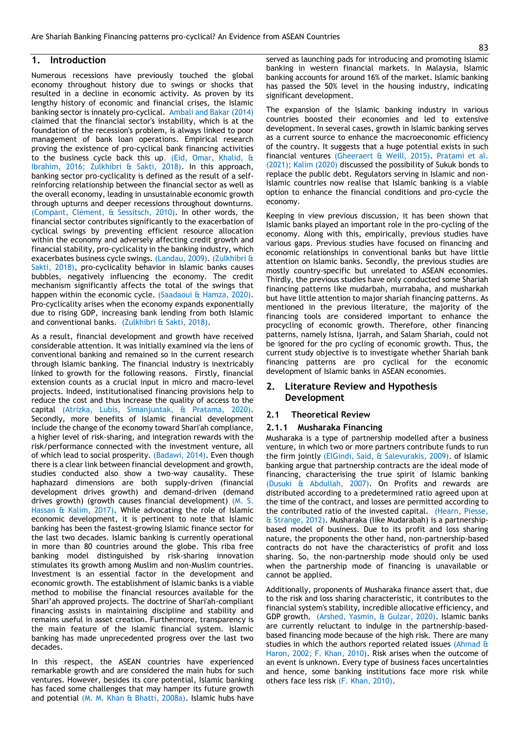# **1. Introduction**

Numerous recessions have previously touched the global economy throughout history due to swings or shocks that resulted in a decline in economic activity. As proven by its lengthy history of economic and financial crises, the Islamic banking sector is innately pro-cyclical. Ambali and Bakar (2014) claimed that the financial sector's instability, which is at the foundation of the recession's problem, is always linked to poor management of bank loan operations. Empirical research proving the existence of pro-cyclical bank financing activities to the business cycle back this up. (Eid, Omar, Khalid, & Ibrahim, 2016; Zulkhibri & Sakti, 2018). In this approach, banking sector pro-cyclicality is defined as the result of a selfreinforcing relationship between the financial sector as well as the overall economy, leading in unsustainable economic growth through upturns and deeper recessions throughout downturns. (Compant, Clément, & Sessitsch, 2010). In other words, the financial sector contributes significantly to the exacerbation of cyclical swings by preventing efficient resource allocation within the economy and adversely affecting credit growth and financial stability, pro-cyclicality in the banking industry, which exacerbates business cycle swings. (Landau, 2009). (Zulkhibri & Sakti, 2018), pro-cyclicality behavior in Islamic banks causes bubbles, negatively influencing the economy. The credit mechanism significantly affects the total of the swings that happen within the economic cycle. (Saadaoui & Hamza, 2020). Pro-cyclicality arises when the economy expands exponentially due to rising GDP, increasing bank lending from both Islamic and conventional banks. (Zulkhibri & Sakti, 2018).

As a result, financial development and growth have received considerable attention. It was initially examined via the lens of conventional banking and remained so in the current research through Islamic banking. The financial industry is inextricably linked to growth for the following reasons. Firstly, financial extension counts as a crucial input in micro and macro-level projects. Indeed, institutionalised financing provisions help to reduce the cost and thus increase the quality of access to the capital (Atrizka, Lubis, Simanjuntak, & Pratama, 2020). Secondly, more benefits of Islamic financial development include the change of the economy toward Shari'ah compliance, a higher level of risk-sharing, and integration rewards with the risk/performance connected with the investment venture, all of which lead to social prosperity. (Badawi, 2014). Even though there is a clear link between financial development and growth, studies conducted also show a two-way causality. These haphazard dimensions are both supply-driven (financial development drives growth) and demand-driven (demand drives growth) (growth causes financial development) (M. S. Hassan & Kalim, 2017). While advocating the role of Islamic economic development, it is pertinent to note that Islamic banking has been the fastest-growing Islamic finance sector for the last two decades. Islamic banking is currently operational in more than 80 countries around the globe. This riba free banking model distinguished by risk-sharing innovation stimulates its growth among Muslim and non-Muslim countries. Investment is an essential factor in the development and economic growth. The establishment of Islamic banks is a viable method to mobilise the financial resources available for the Shari'ah approved projects. The doctrine of Shari'ah-compliant financing assists in maintaining discipline and stability and remains useful in asset creation. Furthermore, transparency is the main feature of the Islamic financial system. Islamic banking has made unprecedented progress over the last two decades.

In this respect, the ASEAN countries have experienced remarkable growth and are considered the main hubs for such ventures. However, besides its core potential, Islamic banking has faced some challenges that may hamper its future growth and potential (M. M. Khan & Bhatti, 2008a). Islamic hubs have

served as launching pads for introducing and promoting Islamic banking in western financial markets. In Malaysia, Islamic banking accounts for around 16% of the market. Islamic banking has passed the 50% level in the housing industry, indicating significant development.

The expansion of the Islamic banking industry in various countries boosted their economies and led to extensive development. In several cases, growth in Islamic banking serves as a current source to enhance the macroeconomic efficiency of the country. It suggests that a huge potential exists in such financial ventures (Gheeraert & Weill, 2015). Pratami et al. (2021); Kalim (2020) discussed the possibility of Sukuk bonds to replace the public debt. Regulators serving in Islamic and non-Islamic countries now realise that Islamic banking is a viable option to enhance the financial conditions and pro-cycle the economy.

Keeping in view previous discussion, it has been shown that Islamic banks played an important role in the pro-cycling of the economy. Along with this, empirically, previous studies have various gaps. Previous studies have focused on financing and economic relationships in conventional banks but have little attention on Islamic banks. Secondly, the previous studies are mostly country-specific but unrelated to ASEAN economies. Thirdly, the previous studies have only conducted some Shariah financing patterns like mudarbah, murrabaha, and musharkah but have little attention to major shariah financing patterns. As mentioned in the previous literature, the majority of the financing tools are considered important to enhance the procycling of economic growth. Therefore, other financing patterns, namely Istisna, Ijarrah, and Salam Shariah, could not be ignored for the pro cycling of economic growth. Thus, the current study objective is to investigate whether Shariah bank financing patterns are pro cyclical for the economic development of Islamic banks in ASEAN economies.

# **2. Literature Review and Hypothesis Development**

# **2.1 Theoretical Review**

# **2.1.1 Musharaka Financing**

Musharaka is a type of partnership modelled after a business venture, in which two or more partners contribute funds to run the firm jointly (ElGindi, Said, & Salevurakis, 2009). of Islamic banking argue that partnership contracts are the ideal mode of financing, characterising the true spirit of Islamic banking (Dusuki & Abdullah, 2007). On Profits and rewards are distributed according to a predetermined ratio agreed upon at the time of the contract, and losses are permitted according to the contributed ratio of the invested capital. (Hearn, Piesse, & Strange, 2012). Musharaka (like Mudarabah) is a partnershipbased model of business. Due to its profit and loss sharing nature, the proponents the other hand, non-partnership-based contracts do not have the characteristics of profit and loss sharing. So, the non-partnership mode should only be used when the partnership mode of financing is unavailable or cannot be applied.

Additionally, proponents of Musharaka finance assert that, due to the risk and loss sharing characteristic, it contributes to the financial system's stability, incredible allocative efficiency, and GDP growth. (Arshed, Yasmin, & Gulzar, 2020). Islamic banks are currently reluctant to indulge in the partnership-basedbased financing mode because of the high risk. There are many studies in which the authors reported related issues (Ahmad & Haron, 2002; F. Khan, 2010). Risk arises when the outcome of an event is unknown. Every type of business faces uncertainties and hence, some banking institutions face more risk while others face less risk (F. Khan, 2010).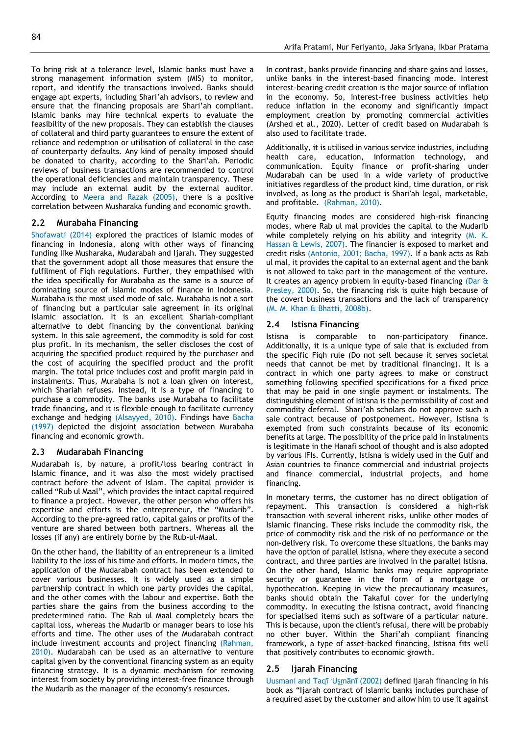To bring risk at a tolerance level, Islamic banks must have a strong management information system (MIS) to monitor, report, and identify the transactions involved. Banks should engage apt experts, including Shari'ah advisors, to review and ensure that the financing proposals are Shari'ah compliant. Islamic banks may hire technical experts to evaluate the feasibility of the new proposals. They can establish the clauses of collateral and third party guarantees to ensure the extent of reliance and redemption or utilisation of collateral in the case of counterparty defaults. Any kind of penalty imposed should be donated to charity, according to the Shari'ah. Periodic reviews of business transactions are recommended to control the operational deficiencies and maintain transparency. These may include an external audit by the external auditor. According to Meera and Razak (2005), there is a positive correlation between Musharaka funding and economic growth.

#### **2.2 Murabaha Financing**

Shofawati (2014) explored the practices of Islamic modes of financing in Indonesia, along with other ways of financing funding like Musharaka, Mudarabah and Ijarah. They suggested that the government adopt all those measures that ensure the fulfilment of Fiqh regulations. Further, they empathised with the idea specifically for Murabaha as the same is a source of dominating source of Islamic modes of finance in Indonesia. Murabaha is the most used mode of sale. Murabaha is not a sort of financing but a particular sale agreement in its original Islamic association. It is an excellent Shariah-compliant alternative to debt financing by the conventional banking system. In this sale agreement, the commodity is sold for cost plus profit. In its mechanism, the seller discloses the cost of acquiring the specified product required by the purchaser and the cost of acquiring the specified product and the profit margin. The total price includes cost and profit margin paid in instalments. Thus, Murabaha is not a loan given on interest, which Shariah refuses. Instead, it is a type of financing to purchase a commodity. The banks use Murabaha to facilitate trade financing, and it is flexible enough to facilitate currency exchange and hedging (Alsayyed, 2010). Findings have Bacha (1997) depicted the disjoint association between Murabaha financing and economic growth.

#### **2.3 Mudarabah Financing**

Mudarabah is, by nature, a profit/loss bearing contract in Islamic finance, and it was also the most widely practised contract before the advent of Islam. The capital provider is called "Rub ul Maal", which provides the intact capital required to finance a project. However, the other person who offers his expertise and efforts is the entrepreneur, the "Mudarib". According to the pre-agreed ratio, capital gains or profits of the venture are shared between both partners. Whereas all the losses (if any) are entirely borne by the Rub-ul-Maal.

On the other hand, the liability of an entrepreneur is a limited liability to the loss of his time and efforts. In modern times, the application of the Mudarabah contract has been extended to cover various businesses. It is widely used as a simple partnership contract in which one party provides the capital, and the other comes with the labour and expertise. Both the parties share the gains from the business according to the predetermined ratio. The Rab ul Maal completely bears the capital loss, whereas the Mudarib or manager bears to lose his efforts and time. The other uses of the Mudarabah contract include investment accounts and project financing (Rahman, 2010). Mudarabah can be used as an alternative to venture capital given by the conventional financing system as an equity financing strategy. It is a dynamic mechanism for removing interest from society by providing interest-free finance through the Mudarib as the manager of the economy's resources.

In contrast, banks provide financing and share gains and losses, unlike banks in the interest-based financing mode. Interest interest-bearing credit creation is the major source of inflation in the economy. So, interest-free business activities help reduce inflation in the economy and significantly impact employment creation by promoting commercial activities (Arshed et al., 2020). Letter of credit based on Mudarabah is also used to facilitate trade.

Additionally, it is utilised in various service industries, including health care, education, information technology, and communication. Equity finance or profit-sharing under Mudarabah can be used in a wide variety of productive initiatives regardless of the product kind, time duration, or risk involved, as long as the product is Shari'ah legal, marketable, and profitable. (Rahman, 2010).

Equity financing modes are considered high-risk financing modes, where Rab ul mal provides the capital to the Mudarib while completely relying on his ability and integrity (M. K. Hassan & Lewis, 2007). The financier is exposed to market and credit risks (Antonio, 2001; Bacha, 1997). If a bank acts as Rab ul mal, it provides the capital to an external agent and the bank is not allowed to take part in the management of the venture. It creates an agency problem in equity-based financing (Dar & Presley, 2000). So, the financing risk is quite high because of the covert business transactions and the lack of transparency (M. M. Khan & Bhatti, 2008b).

#### **2.4 Istisna Financing**

Istisna is comparable to non-participatory finance. Additionally, it is a unique type of sale that is excluded from the specific Fiqh rule (Do not sell because it serves societal needs that cannot be met by traditional financing). It is a contract in which one party agrees to make or construct something following specified specifications for a fixed price that may be paid in one single payment or instalments. The distinguishing element of Istisna is the permissibility of cost and commodity deferral. Shari'ah scholars do not approve such a sale contract because of postponement. However, Istisna is exempted from such constraints because of its economic benefits at large. The possibility of the price paid in instalments is legitimate in the Hanafi school of thought and is also adopted by various IFIs. Currently, Istisna is widely used in the Gulf and Asian countries to finance commercial and industrial projects and finance commercial, industrial projects, and home financing.

In monetary terms, the customer has no direct obligation of repayment. This transaction is considered a high-risk transaction with several inherent risks, unlike other modes of Islamic financing. These risks include the commodity risk, the price of commodity risk and the risk of no performance or the non-delivery risk. To overcome these situations, the banks may have the option of parallel Istisna, where they execute a second contract, and three parties are involved in the parallel Istisna. On the other hand, Islamic banks may require appropriate security or guarantee in the form of a mortgage or hypothecation. Keeping in view the precautionary measures, banks should obtain the Takaful cover for the underlying commodity. In executing the Istisna contract, avoid financing for specialised items such as software of a particular nature. This is because, upon the client's refusal, there will be probably no other buyer. Within the Shari'ah compliant financing framework, a type of asset-backed financing, Istisna fits well that positively contributes to economic growth.

#### **2.5 Ijarah Financing**

Uusmani and Taqī ʻUs̲mānī (2002) defined Ijarah financing in his book as "Ijarah contract of Islamic banks includes purchase of a required asset by the customer and allow him to use it against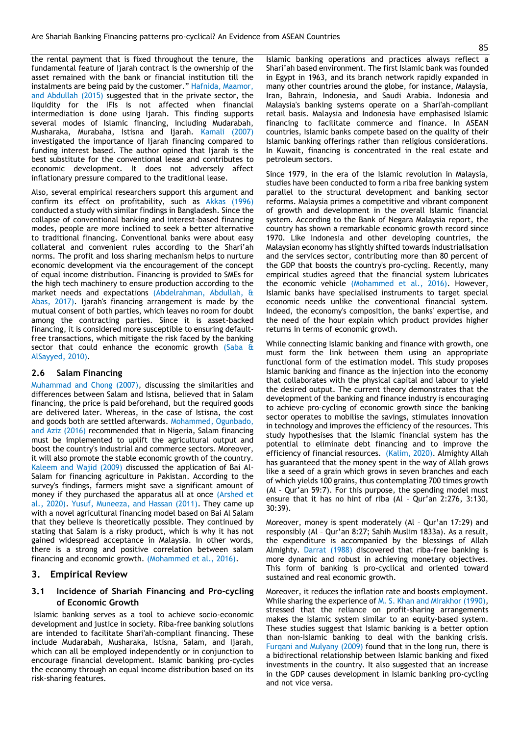the rental payment that is fixed throughout the tenure, the fundamental feature of Ijarah contract is the ownership of the asset remained with the bank or financial institution till the instalments are being paid by the customer." Hafnida, Maamor, and Abdullah (2015) suggested that in the private sector, the liquidity for the IFIs is not affected when financial intermediation is done using Ijarah. This finding supports several modes of Islamic financing, including Mudarabah, Musharaka, Murabaha, Istisna and Ijarah. Kamali (2007) investigated the importance of Ijarah financing compared to funding interest based. The author opined that Ijarah is the best substitute for the conventional lease and contributes to economic development. It does not adversely affect inflationary pressure compared to the traditional lease.

Also, several empirical researchers support this argument and confirm its effect on profitability, such as Akkas (1996) conducted a study with similar findings in Bangladesh. Since the collapse of conventional banking and interest-based financing modes, people are more inclined to seek a better alternative to traditional financing. Conventional banks were about easy collateral and convenient rules according to the Shari'ah norms. The profit and loss sharing mechanism helps to nurture economic development via the encouragement of the concept of equal income distribution. Financing is provided to SMEs for the high tech machinery to ensure production according to the market needs and expectations (Abdelrahman, Abdullah, & Abas, 2017). Ijarah's financing arrangement is made by the mutual consent of both parties, which leaves no room for doubt among the contracting parties. Since it is asset-backed financing, it is considered more susceptible to ensuring defaultfree transactions, which mitigate the risk faced by the banking sector that could enhance the economic growth (Saba & AlSayyed, 2010).

#### **2.6 Salam Financing**

Muhammad and Chong (2007), discussing the similarities and differences between Salam and Istisna, believed that in Salam financing, the price is paid beforehand, but the required goods are delivered later. Whereas, in the case of Istisna, the cost and goods both are settled afterwards. Mohammed, Ogunbado, and Aziz (2016) recommended that in Nigeria, Salam financing must be implemented to uplift the agricultural output and boost the country's industrial and commerce sectors. Moreover, it will also promote the stable economic growth of the country. Kaleem and Wajid (2009) discussed the application of Bai Al-Salam for financing agriculture in Pakistan. According to the survey's findings, farmers might save a significant amount of money if they purchased the apparatus all at once (Arshed et al., 2020). Yusuf, Muneeza, and Hassan (2011). They came up with a novel agricultural financing model based on Bai Al Salam that they believe is theoretically possible. They continued by stating that Salam is a risky product, which is why it has not gained widespread acceptance in Malaysia. In other words, there is a strong and positive correlation between salam financing and economic growth. (Mohammed et al., 2016).

# **3. Empirical Review**

# **3.1 Incidence of Shariah Financing and Pro-cycling of Economic Growth**

Islamic banking serves as a tool to achieve socio-economic development and justice in society. Riba-free banking solutions are intended to facilitate Shari'ah-compliant financing. These include Mudarabah, Musharaka, Istisna, Salam, and Ijarah, which can all be employed independently or in conjunction to encourage financial development. Islamic banking pro-cycles the economy through an equal income distribution based on its risk-sharing features.

Islamic banking operations and practices always reflect a Shari'ah based environment. The first Islamic bank was founded in Egypt in 1963, and its branch network rapidly expanded in many other countries around the globe, for instance, Malaysia, Iran, Bahrain, Indonesia, and Saudi Arabia. Indonesia and Malaysia's banking systems operate on a Shari'ah-compliant retail basis. Malaysia and Indonesia have emphasised Islamic financing to facilitate commerce and finance. In ASEAN countries, Islamic banks compete based on the quality of their Islamic banking offerings rather than religious considerations. In Kuwait, financing is concentrated in the real estate and petroleum sectors.

Since 1979, in the era of the Islamic revolution in Malaysia, studies have been conducted to form a riba free banking system parallel to the structural development and banking sector reforms. Malaysia primes a competitive and vibrant component of growth and development in the overall Islamic financial system. According to the Bank of Negara Malaysia report, the country has shown a remarkable economic growth record since 1970. Like Indonesia and other developing countries, the Malaysian economy has slightly shifted towards industrialisation and the services sector, contributing more than 80 percent of the GDP that boosts the country's pro-cycling. Recently, many empirical studies agreed that the financial system lubricates the economic vehicle (Mohammed et al., 2016). However, Islamic banks have specialised instruments to target special economic needs unlike the conventional financial system. Indeed, the economy's composition, the banks' expertise, and the need of the hour explain which product provides higher returns in terms of economic growth.

While connecting Islamic banking and finance with growth, one must form the link between them using an appropriate functional form of the estimation model. This study proposes Islamic banking and finance as the injection into the economy that collaborates with the physical capital and labour to yield the desired output. The current theory demonstrates that the development of the banking and finance industry is encouraging to achieve pro-cycling of economic growth since the banking sector operates to mobilise the savings, stimulates innovation in technology and improves the efficiency of the resources. This study hypothesises that the Islamic financial system has the potential to eliminate debt financing and to improve the efficiency of financial resources. (Kalim, 2020). Almighty Allah has guaranteed that the money spent in the way of Allah grows like a seed of a grain which grows in seven branches and each of which yields 100 grains, thus contemplating 700 times growth (Al – Qur'an 59:7). For this purpose, the spending model must ensure that it has no hint of riba (Al – Qur'an 2:276, 3:130, 30:39).

Moreover, money is spent moderately (Al – Qur'an 17:29) and responsibly (Al – Qur'an 8:27; Sahih Muslim 1833a). As a result, the expenditure is accompanied by the blessings of Allah Almighty. Darrat (1988) discovered that riba-free banking is more dynamic and robust in achieving monetary objectives. This form of banking is pro-cyclical and oriented toward sustained and real economic growth.

Moreover, it reduces the inflation rate and boosts employment. While sharing the experience of M. S. Khan and Mirakhor (1990), stressed that the reliance on profit-sharing arrangements makes the Islamic system similar to an equity-based system. These studies suggest that Islamic banking is a better option than non-Islamic banking to deal with the banking crisis. Furqani and Mulyany (2009) found that in the long run, there is a bidirectional relationship between Islamic banking and fixed investments in the country. It also suggested that an increase in the GDP causes development in Islamic banking pro-cycling and not vice versa.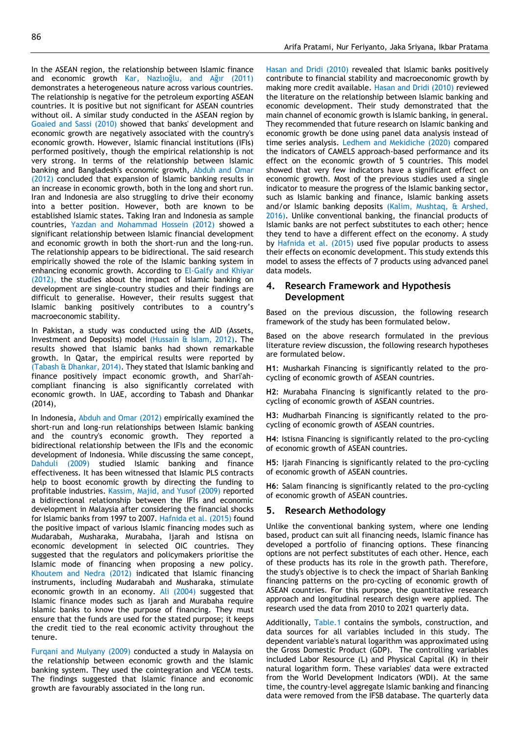In the ASEAN region, the relationship between Islamic finance and economic growth Kar, Nazlıoğlu, and Ağır (2011) demonstrates a heterogeneous nature across various countries. The relationship is negative for the petroleum exporting ASEAN countries. It is positive but not significant for ASEAN countries without oil. A similar study conducted in the ASEAN region by Goaied and Sassi (2010) showed that banks' development and economic growth are negatively associated with the country's economic growth. However, Islamic financial institutions (IFIs) performed positively, though the empirical relationship is not very strong. In terms of the relationship between Islamic banking and Bangladesh's economic growth, Abduh and Omar (2012) concluded that expansion of Islamic banking results in an increase in economic growth, both in the long and short run. Iran and Indonesia are also struggling to drive their economy into a better position. However, both are known to be established Islamic states. Taking Iran and Indonesia as sample countries, Yazdan and Mohammad Hossein (2012) showed a significant relationship between Islamic financial development and economic growth in both the short-run and the long-run. The relationship appears to be bidirectional. The said research empirically showed the role of the Islamic banking system in enhancing economic growth. According to El-Galfy and Khiyar (2012), the studies about the impact of Islamic banking on development are single-country studies and their findings are difficult to generalise. However, their results suggest that

In Pakistan, a study was conducted using the AID (Assets, Investment and Deposits) model (Hussain & Islam, 2012). The results showed that Islamic banks had shown remarkable growth. In Qatar, the empirical results were reported by (Tabash & Dhankar, 2014). They stated that Islamic banking and finance positively impact economic growth, and Shari'ahcompliant financing is also significantly correlated with economic growth. In UAE, according to Tabash and Dhankar (2014),

Islamic banking positively contributes to a country's

macroeconomic stability.

In Indonesia, Abduh and Omar (2012) empirically examined the short-run and long-run relationships between Islamic banking and the country's economic growth. They reported a bidirectional relationship between the IFIs and the economic development of Indonesia. While discussing the same concept, Dahduli (2009) studied Islamic banking and finance effectiveness. It has been witnessed that Islamic PLS contracts help to boost economic growth by directing the funding to profitable industries. Kassim, Majid, and Yusof (2009) reported a bidirectional relationship between the IFIs and economic development in Malaysia after considering the financial shocks for Islamic banks from 1997 to 2007. Hafnida et al. (2015) found the positive impact of various Islamic financing modes such as Mudarabah, Musharaka, Murabaha, Ijarah and Istisna on economic development in selected OIC countries. They suggested that the regulators and policymakers prioritise the Islamic mode of financing when proposing a new policy. Khoutem and Nedra (2012) indicated that Islamic financing instruments, including Mudarabah and Musharaka, stimulate economic growth in an economy. Ali (2004) suggested that Islamic finance modes such as Ijarah and Murabaha require Islamic banks to know the purpose of financing. They must ensure that the funds are used for the stated purpose; it keeps the credit tied to the real economic activity throughout the tenure.

Furqani and Mulyany (2009) conducted a study in Malaysia on the relationship between economic growth and the Islamic banking system. They used the cointegration and VECM tests. The findings suggested that Islamic finance and economic growth are favourably associated in the long run.

Hasan and Dridi (2010) revealed that Islamic banks positively contribute to financial stability and macroeconomic growth by making more credit available. Hasan and Dridi (2010) reviewed the literature on the relationship between Islamic banking and economic development. Their study demonstrated that the main channel of economic growth is Islamic banking, in general. They recommended that future research on Islamic banking and economic growth be done using panel data analysis instead of time series analysis. Ledhem and Mekidiche (2020) compared the indicators of CAMELS approach-based performance and its effect on the economic growth of 5 countries. This model showed that very few indicators have a significant effect on economic growth. Most of the previous studies used a single indicator to measure the progress of the Islamic banking sector, such as Islamic banking and finance, Islamic banking assets and/or Islamic banking deposits (Kalim, Mushtaq, & Arshed, 2016). Unlike conventional banking, the financial products of Islamic banks are not perfect substitutes to each other; hence they tend to have a different effect on the economy. A study by Hafnida et al. (2015) used five popular products to assess their effects on economic development. This study extends this model to assess the effects of 7 products using advanced panel data models.

# **4. Research Framework and Hypothesis Development**

Based on the previous discussion, the following research framework of the study has been formulated below.

Based on the above research formulated in the previous literature review discussion, the following research hypotheses are formulated below.

**H1**: Musharkah Financing is significantly related to the procycling of economic growth of ASEAN countries.

**H2**: Murabaha Financing is significantly related to the procycling of economic growth of ASEAN countries.

**H3**: Mudharbah Financing is significantly related to the procycling of economic growth of ASEAN countries.

**H4**: Istisna Financing is significantly related to the pro-cycling of economic growth of ASEAN countries.

**H5**: Ijarah Financing is significantly related to the pro-cycling of economic growth of ASEAN countries.

**H6**: Salam financing is significantly related to the pro-cycling of economic growth of ASEAN countries.

# **5. Research Methodology**

Unlike the conventional banking system, where one lending based, product can suit all financing needs, Islamic finance has developed a portfolio of financing options. These financing options are not perfect substitutes of each other. Hence, each of these products has its role in the growth path. Therefore, the study's objective is to check the impact of Shariah Banking financing patterns on the pro-cycling of economic growth of ASEAN countries. For this purpose, the quantitative research approach and longitudinal research design were applied. The research used the data from 2010 to 2021 quarterly data.

Additionally, Table.1 contains the symbols, construction, and data sources for all variables included in this study. The dependent variable's natural logarithm was approximated using the Gross Domestic Product (GDP). The controlling variables included Labor Resource (L) and Physical Capital (K) in their natural logarithm form. These variables' data were extracted from the World Development Indicators (WDI). At the same time, the country-level aggregate Islamic banking and financing data were removed from the IFSB database. The quarterly data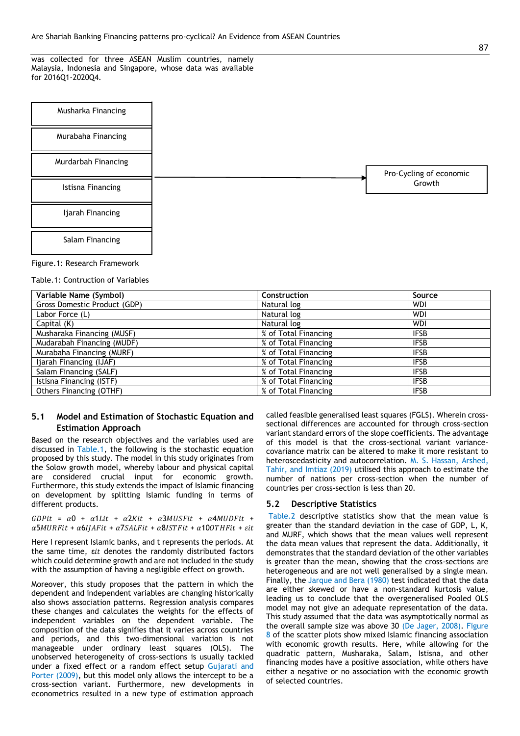was collected for three ASEAN Muslim countries, namely Malaysia, Indonesia and Singapore, whose data was available for 2016Q1-2020Q4.

| Musharka Financing  |  |                         |
|---------------------|--|-------------------------|
| Murabaha Financing  |  |                         |
| Murdarbah Financing |  | Pro-Cycling of economic |
| Istisna Financing   |  | Growth                  |
| Ijarah Financing    |  |                         |
| Salam Financing     |  |                         |

Figure.1: Research Framework

Table.1: Contruction of Variables

| Variable Name (Symbol)       | Construction         | Source      |
|------------------------------|----------------------|-------------|
| Gross Domestic Product (GDP) | Natural log          | <b>WDI</b>  |
| Labor Force (L)              | Natural log          | <b>WDI</b>  |
| Capital (K)                  | Natural log          | WDI         |
| Musharaka Financing (MUSF)   | % of Total Financing | <b>IFSB</b> |
| Mudarabah Financing (MUDF)   | % of Total Financing | <b>IFSB</b> |
| Murabaha Financing (MURF)    | % of Total Financing | <b>IFSB</b> |
| Ijarah Financing (IJAF)      | % of Total Financing | <b>IFSB</b> |
| Salam Financing (SALF)       | % of Total Financing | <b>IFSB</b> |
| Istisna Financing (ISTF)     | % of Total Financing | <b>IFSB</b> |
| Others Financing (OTHF)      | % of Total Financing | <b>IFSB</b> |

# **5.1 Model and Estimation of Stochastic Equation and Estimation Approach**

Based on the research objectives and the variables used are discussed in Table.1, the following is the stochastic equation proposed by this study. The model in this study originates from the Solow growth model, whereby labour and physical capital are considered crucial input for economic growth. Furthermore, this study extends the impact of Islamic financing on development by splitting Islamic funding in terms of different products.

 $GDPit = \alpha 0 + \alpha 1 Lit + \alpha 2 Kit + \alpha 3MUSFit + \alpha 4MUDFit +$  $\alpha$ 5MURFit +  $\alpha$ 6IJAFit +  $\alpha$ 7SALFit +  $\alpha$ 8ISTFit +  $\alpha$ 100THFit +  $\varepsilon$ it

Here I represent Islamic banks, and t represents the periods. At the same time,  $\epsilon i t$  denotes the randomly distributed factors which could determine growth and are not included in the study with the assumption of having a negligible effect on growth.

Moreover, this study proposes that the pattern in which the dependent and independent variables are changing historically also shows association patterns. Regression analysis compares these changes and calculates the weights for the effects of independent variables on the dependent variable. The composition of the data signifies that it varies across countries and periods, and this two-dimensional variation is not manageable under ordinary least squares (OLS). The unobserved heterogeneity of cross-sections is usually tackled under a fixed effect or a random effect setup Gujarati and Porter (2009), but this model only allows the intercept to be a cross-section variant. Furthermore, new developments in econometrics resulted in a new type of estimation approach

called feasible generalised least squares (FGLS). Wherein crosssectional differences are accounted for through cross-section variant standard errors of the slope coefficients. The advantage of this model is that the cross-sectional variant variancecovariance matrix can be altered to make it more resistant to heteroscedasticity and autocorrelation. M. S. Hassan, Arshed, Tahir, and Imtiaz (2019) utilised this approach to estimate the number of nations per cross-section when the number of countries per cross-section is less than 20.

# **5.2 Descriptive Statistics**

Table.2 descriptive statistics show that the mean value is greater than the standard deviation in the case of GDP, L, K, and MURF, which shows that the mean values well represent the data mean values that represent the data. Additionally, it demonstrates that the standard deviation of the other variables is greater than the mean, showing that the cross-sections are heterogeneous and are not well generalised by a single mean. Finally, the Jarque and Bera (1980) test indicated that the data are either skewed or have a non-standard kurtosis value, leading us to conclude that the overgeneralised Pooled OLS model may not give an adequate representation of the data. This study assumed that the data was asymptotically normal as the overall sample size was above 30 (De Jager, 2008). Figure 8 of the scatter plots show mixed Islamic financing association with economic growth results. Here, while allowing for the quadratic pattern, Musharaka, Salam, Istisna, and other financing modes have a positive association, while others have either a negative or no association with the economic growth of selected countries.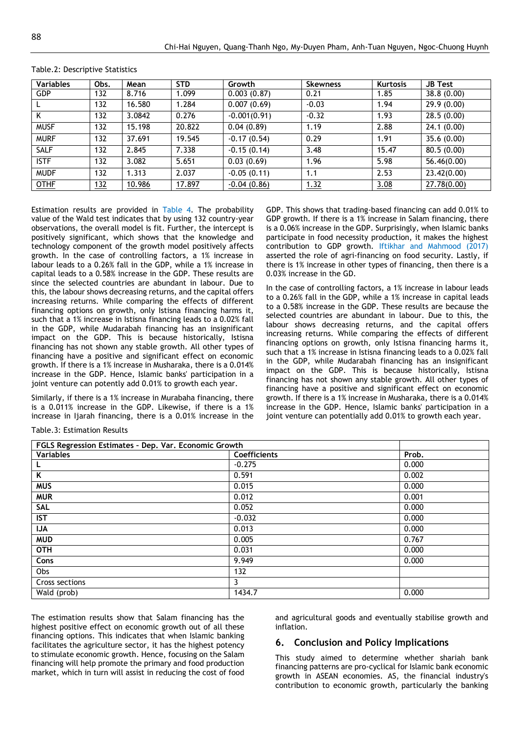| <b>Variables</b> | Obs. | Mean   | <b>STD</b> | Growth         | <b>Skewness</b> | <b>Kurtosis</b> | <b>JB Test</b> |
|------------------|------|--------|------------|----------------|-----------------|-----------------|----------------|
| <b>GDP</b>       | 132  | 8.716  | 1.099      | 0.003(0.87)    | 0.21            | 1.85            | 38.8(0.00)     |
|                  | 132  | 16.580 | 1.284      | 0.007(0.69)    | $-0.03$         | 1.94            | 29.9 (0.00)    |
| K                | 132  | 3.0842 | 0.276      | $-0.001(0.91)$ | $-0.32$         | 1.93            | 28.5(0.00)     |
| <b>MUSF</b>      | 132  | 15.198 | 20.822     | 0.04(0.89)     | 1.19            | 2.88            | 24.1(0.00)     |
| <b>MURF</b>      | 132  | 37.691 | 19.545     | $-0.17(0.54)$  | 0.29            | 1.91            | 35.6 (0.00)    |
| <b>SALF</b>      | 132  | 2.845  | 7.338      | $-0.15(0.14)$  | 3.48            | 15.47           | 80.5(0.00)     |
| <b>ISTF</b>      | 132  | 3.082  | 5.651      | 0.03(0.69)     | 1.96            | 5.98            | 56.46(0.00)    |
| <b>MUDF</b>      | 132  | 1.313  | 2.037      | $-0.05(0.11)$  | 1.1             | 2.53            | 23.42(0.00)    |
| <b>OTHF</b>      | 132  | 10.986 | 17.897     | $-0.04(0.86)$  | 1.32            | 3.08            | 27.78(0.00)    |

#### Table.2: Descriptive Statistics

Estimation results are provided in Table 4. The probability value of the Wald test indicates that by using 132 country-year observations, the overall model is fit. Further, the intercept is positively significant, which shows that the knowledge and technology component of the growth model positively affects growth. In the case of controlling factors, a 1% increase in labour leads to a 0.26% fall in the GDP, while a 1% increase in capital leads to a 0.58% increase in the GDP. These results are since the selected countries are abundant in labour. Due to this, the labour shows decreasing returns, and the capital offers increasing returns. While comparing the effects of different financing options on growth, only Istisna financing harms it, such that a 1% increase in Istisna financing leads to a 0.02% fall in the GDP, while Mudarabah financing has an insignificant impact on the GDP. This is because historically, Istisna financing has not shown any stable growth. All other types of financing have a positive and significant effect on economic growth. If there is a 1% increase in Musharaka, there is a 0.014% increase in the GDP. Hence, Islamic banks' participation in a joint venture can potently add 0.01% to growth each year.

Similarly, if there is a 1% increase in Murabaha financing, there is a 0.011% increase in the GDP. Likewise, if there is a 1% increase in Ijarah financing, there is a 0.01% increase in the GDP. This shows that trading-based financing can add 0.01% to GDP growth. If there is a 1% increase in Salam financing, there is a 0.06% increase in the GDP. Surprisingly, when Islamic banks participate in food necessity production, it makes the highest contribution to GDP growth. Iftikhar and Mahmood (2017) asserted the role of agri-financing on food security. Lastly, if there is 1% increase in other types of financing, then there is a 0.03% increase in the GD.

In the case of controlling factors, a 1% increase in labour leads to a 0.26% fall in the GDP, while a 1% increase in capital leads to a 0.58% increase in the GDP. These results are because the selected countries are abundant in labour. Due to this, the labour shows decreasing returns, and the capital offers increasing returns. While comparing the effects of different financing options on growth, only Istisna financing harms it, such that a 1% increase in Istisna financing leads to a 0.02% fall in the GDP, while Mudarabah financing has an insignificant impact on the GDP. This is because historically, Istisna financing has not shown any stable growth. All other types of financing have a positive and significant effect on economic growth. If there is a 1% increase in Musharaka, there is a 0.014% increase in the GDP. Hence, Islamic banks' participation in a joint venture can potentially add 0.01% to growth each year.

Table.3: Estimation Results

| FGLS Regression Estimates - Dep. Var. Economic Growth |                     |       |
|-------------------------------------------------------|---------------------|-------|
| Variables                                             | <b>Coefficients</b> | Prob. |
|                                                       | $-0.275$            | 0.000 |
| K                                                     | 0.591               | 0.002 |
| <b>MUS</b>                                            | 0.015               | 0.000 |
| <b>MUR</b>                                            | 0.012               | 0.001 |
| <b>SAL</b>                                            | 0.052               | 0.000 |
| <b>IST</b>                                            | $-0.032$            | 0.000 |
| <b>IJA</b>                                            | 0.013               | 0.000 |
| <b>MUD</b>                                            | 0.005               | 0.767 |
| <b>OTH</b>                                            | 0.031               | 0.000 |
| Cons                                                  | 9.949               | 0.000 |
| Obs                                                   | 132                 |       |
| Cross sections                                        | 3                   |       |
| Wald (prob)                                           | 1434.7              | 0.000 |

The estimation results show that Salam financing has the highest positive effect on economic growth out of all these financing options. This indicates that when Islamic banking facilitates the agriculture sector, it has the highest potency to stimulate economic growth. Hence, focusing on the Salam financing will help promote the primary and food production market, which in turn will assist in reducing the cost of food

and agricultural goods and eventually stabilise growth and inflation.

# **6. Conclusion and Policy Implications**

This study aimed to determine whether shariah bank financing patterns are pro-cyclical for Islamic bank economic growth in ASEAN economies. AS, the financial industry's contribution to economic growth, particularly the banking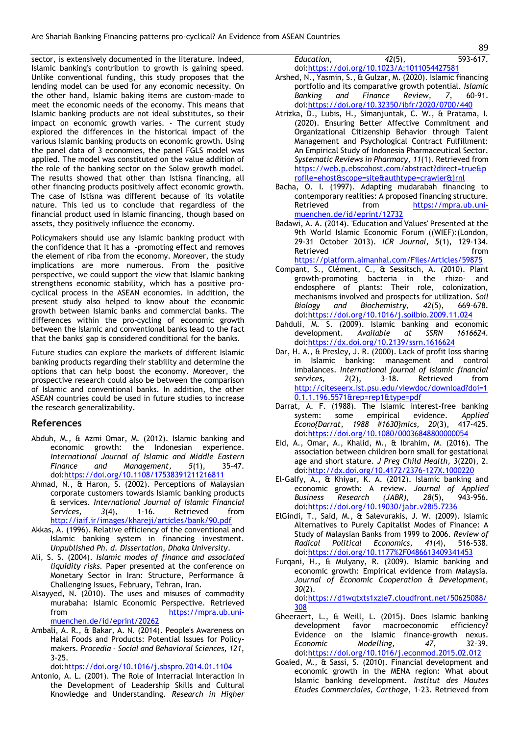sector, is extensively documented in the literature. Indeed, Islamic banking's contribution to growth is gaining speed. Unlike conventional funding, this study proposes that the lending model can be used for any economic necessity. On the other hand, Islamic baking items are custom-made to meet the economic needs of the economy. This means that Islamic banking products are not ideal substitutes, so their impact on economic growth varies. - The current study explored the differences in the historical impact of the various Islamic banking products on economic growth. Using the panel data of 3 economies, the panel FGLS model was applied. The model was constituted on the value addition of the role of the banking sector on the Solow growth model. The results showed that other than Istisna financing, all other financing products positively affect economic growth. The case of Istisna was different because of its volatile nature. This led us to conclude that regardless of the financial product used in Islamic financing, though based on assets, they positively influence the economy.

Policymakers should use any Islamic banking product with the confidence that it has a -promoting effect and removes the element of riba from the economy. Moreover, the study implications are more numerous. From the positive perspective, we could support the view that Islamic banking strengthens economic stability, which has a positive procyclical process in the ASEAN economies. In addition, the present study also helped to know about the economic growth between Islamic banks and commercial banks. The differences within the pro-cycling of economic growth between the Islamic and conventional banks lead to the fact that the banks' gap is considered conditional for the banks.

Future studies can explore the markets of different Islamic banking products regarding their stability and determine the options that can help boost the economy. Moreover, the prospective research could also be between the comparison of Islamic and conventional banks. In addition, the other ASEAN countries could be used in future studies to increase the research generalizability.

# **References**

- Abduh, M., & Azmi Omar, M. (2012). Islamic banking and economic growth: the Indonesian experience. *International Journal of Islamic and Middle Eastern Finance and Management, 5*(1), 35-47. doi[:https://doi.org/10.1108/17538391211216811](https://doi.org/10.1108/17538391211216811)
- Ahmad, N., & Haron, S. (2002). Perceptions of Malaysian corporate customers towards Islamic banking products & services. *International Journal of Islamic Financial Services, 3*(4), 1-16. Retrieved from <http://iaif.ir/images/khareji/articles/bank/90.pdf>
- Akkas, A. (1996). Relative efficiency of the conventional and Islamic banking system in financing investment. *Unpublished Ph. d. Dissertation, Dhaka University*.
- Ali, S. S. (2004). *Islamic modes of finance and associated liquidity risks.* Paper presented at the conference on Monetary Sector in Iran: Structure, Performance & Challenging Issues, February, Tehran, Iran.
- Alsayyed, N. (2010). The uses and misuses of commodity murabaha: Islamic Economic Perspective. Retrieved from [https://mpra.ub.uni](https://mpra.ub.uni-muenchen.de/id/eprint/20262)[muenchen.de/id/eprint/20262](https://mpra.ub.uni-muenchen.de/id/eprint/20262)
- Ambali, A. R., & Bakar, A. N. (2014). People's Awareness on Halal Foods and Products: Potential Issues for Policymakers. *Procedia - Social and Behavioral Sciences, 121*, 3-25.

doi[:https://doi.org/10.1016/j.sbspro.2014.01.1104](https://doi.org/10.1016/j.sbspro.2014.01.1104)

Antonio, A. L. (2001). The Role of Interracial Interaction in the Development of Leadership Skills and Cultural Knowledge and Understanding. *Research in Higher* 

*Education, 42*(5), 593-617. doi[:https://doi.org/10.1023/A:1011054427581](https://doi.org/10.1023/A:1011054427581)

- Arshed, N., Yasmin, S., & Gulzar, M. (2020). Islamic financing portfolio and its comparative growth potential. *Islamic Banking and Finance Review, 7*, 60-91. doi[:https://doi.org/10.32350/ibfr/2020/0700/440](https://doi.org/10.32350/ibfr/2020/0700/440)
- Atrizka, D., Lubis, H., Simanjuntak, C. W., & Pratama, I. (2020). Ensuring Better Affective Commitment and Organizational Citizenship Behavior through Talent Management and Psychological Contract Fulfillment: An Empirical Study of Indonesia Pharmaceutical Sector. *Systematic Reviews in Pharmacy, 11*(1). Retrieved from [https://web.p.ebscohost.com/abstract?direct=true&p](https://web.p.ebscohost.com/abstract?direct=true&profile=ehost&scope=site&authtype=crawler&jrnl) [rofile=ehost&scope=site&authtype=crawler&jrnl](https://web.p.ebscohost.com/abstract?direct=true&profile=ehost&scope=site&authtype=crawler&jrnl)
- Bacha, O. I. (1997). Adapting mudarabah financing to contemporary realities: A proposed financing structure. Retrieved from [https://mpra.ub.uni](https://mpra.ub.uni-muenchen.de/id/eprint/12732)[muenchen.de/id/eprint/12732](https://mpra.ub.uni-muenchen.de/id/eprint/12732)
- Badawi, A. A. (2014). 'Education and Values' Presented at the 9th World Islamic Economic Forum ((WIEF):(London, 29-31 October 2013). *ICR Journal, 5*(1), 129-134. Retrieved from the state of the state of the state of the state of the state of the state of the state of the state of the state of the state of the state of the state of the state of the state of the state of the state of <https://platform.almanhal.com/Files/Articles/59875>
- Compant, S., Clément, C., & Sessitsch, A. (2010). Plant growth-promoting bacteria in the rhizo- and endosphere of plants: Their role, colonization, mechanisms involved and prospects for utilization. *Soil Biology and Biochemistry, 42*(5), 669-678. doi[:https://doi.org/10.1016/j.soilbio.2009.11.024](https://doi.org/10.1016/j.soilbio.2009.11.024)
- Dahduli, M. S. (2009). Islamic banking and economic development. *Available at SSRN 1616624*. doi[:https://dx.doi.org/10.2139/ssrn.1616624](https://dx.doi.org/10.2139/ssrn.1616624)
- Dar, H. A., & Presley, J. R. (2000). Lack of profit loss sharing in Islamic banking: management and control imbalances. *International journal of Islamic financial services, 2*(2), 3-18. Retrieved from [http://citeseerx.ist.psu.edu/viewdoc/download?doi=1](http://citeseerx.ist.psu.edu/viewdoc/download?doi=10.1.1.196.5571&rep=rep1&type=pdf) [0.1.1.196.5571&rep=rep1&type=pdf](http://citeseerx.ist.psu.edu/viewdoc/download?doi=10.1.1.196.5571&rep=rep1&type=pdf)
- Darrat, A. F. (1988). The Islamic interest-free banking system: some empirical evidence. *Applied Econo{Darrat, 1988 #1630}mics, 20*(3), 417-425. doi[:https://doi.org/10.1080/00036848800000054](https://doi.org/10.1080/00036848800000054)
- Eid, A., Omar, A., Khalid, M., & Ibrahim, M. (2016). The association between children born small for gestational age and short stature. *J Preg Child Health, 3*(220), 2. doi[:http://dx.doi.org/10.4172/2376-127X.1000220](http://dx.doi.org/10.4172/2376-127X.1000220)
- El-Galfy, A., & Khiyar, K. A. (2012). Islamic banking and economic growth: A review. *Journal of Applied Business Research (JABR), 28*(5), 943-956. doi[:https://doi.org/10.19030/jabr.v28i5.7236](https://doi.org/10.19030/jabr.v28i5.7236)
- ElGindi, T., Said, M., & Salevurakis, J. W. (2009). Islamic Alternatives to Purely Capitalist Modes of Finance: A Study of Malaysian Banks from 1999 to 2006. *Review of Radical Political Economics, 41*(4), 516-538. doi[:https://doi.org/10.1177%2F0486613409341453](https://doi.org/10.1177%2F0486613409341453)
- Furqani, H., & Mulyany, R. (2009). Islamic banking and economic growth: Empirical evidence from Malaysia. *Journal of Economic Cooperation & Development, 30*(2).

doi[:https://d1wqtxts1xzle7.cloudfront.net/50625088/](https://d1wqtxts1xzle7.cloudfront.net/50625088/308) [308](https://d1wqtxts1xzle7.cloudfront.net/50625088/308)

- Gheeraert, L., & Weill, L. (2015). Does Islamic banking development favor macroeconomic efficiency? Evidence on the Islamic finance-growth nexus. *Economic Modelling, 47*, 32-39. doi[:https://doi.org/10.1016/j.econmod.2015.02.012](https://doi.org/10.1016/j.econmod.2015.02.012)
- Goaied, M., & Sassi, S. (2010). Financial development and economic growth in the MENA region: What about Islamic banking development. *Institut des Hautes Etudes Commerciales, Carthage*, 1-23. Retrieved from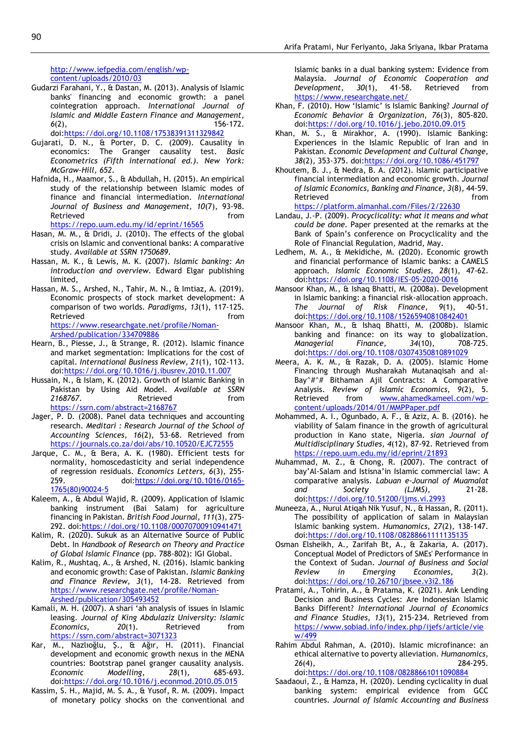[http://www.iefpedia.com/english/wp](http://www.iefpedia.com/english/wp-content/uploads/2010/03)[content/uploads/2010/03](http://www.iefpedia.com/english/wp-content/uploads/2010/03)

- Gudarzi Farahani, Y., & Dastan, M. (2013). Analysis of Islamic banks' financing and economic growth: a panel cointegration approach. *International Journal of Islamic and Middle Eastern Finance and Management, 6*(2), 156-172. doi[:https://doi.org/10.1108/17538391311329842](https://doi.org/10.1108/17538391311329842)
- Gujarati, D. N., & Porter, D. C. (2009). Causality in economics: The Granger causality test. *Basic Econometrics (Fifth international ed.). New York: McGraw-Hill, 652*.
- Hafnida, H., Maamor, S., & Abdullah, H. (2015). An empirical study of the relationship between Islamic modes of finance and financial intermediation. *International Journal of Business and Management, 10*(7), 93-98. Retrieved **from**

<https://repo.uum.edu.my/id/eprint/16565>

- Hasan, M. M., & Dridi, J. (2010). The effects of the global crisis on Islamic and conventional banks: A comparative study. *Available at SSRN 1750689*.
- Hassan, M. K., & Lewis, M. K. (2007). *Islamic banking: An introduction and overview.* Edward Elgar publishing limited,
- Hassan, M. S., Arshed, N., Tahir, M. N., & Imtiaz, A. (2019). Economic prospects of stock market development: A comparison of two worlds. *Paradigms, 13*(1), 117-125. Retrieved **from** [https://www.researchgate.net/profile/Noman-](https://www.researchgate.net/profile/Noman-Arshed/publication/334709886)[Arshed/publication/334709886](https://www.researchgate.net/profile/Noman-Arshed/publication/334709886)
- Hearn, B., Piesse, J., & Strange, R. (2012). Islamic finance and market segmentation: Implications for the cost of capital. *International Business Review, 21*(1), 102-113. doi[:https://doi.org/10.1016/j.ibusrev.2010.11.007](https://doi.org/10.1016/j.ibusrev.2010.11.007)
- Hussain, N., & Islam, K. (2012). Growth of Islamic Banking in Pakistan by Using Aid Model. *Available at SSRN*  2168767. Retrieved from <https://ssrn.com/abstract=2168767>
- Jager, P. D. (2008). Panel data techniques and accounting research. *Meditari : Research Journal of the School of Accounting Sciences, 16*(2), 53-68. Retrieved from <https://journals.co.za/doi/abs/10.10520/EJC72555>
- Jarque, C. M., & Bera, A. K. (1980). Efficient tests for normality, homoscedasticity and serial independence of regression residuals. *Economics Letters, 6*(3), 255- 259. doi[:https://doi.org/10.1016/0165-](https://doi.org/10.1016/0165-1765(80)90024-5) [1765\(80\)90024-5](https://doi.org/10.1016/0165-1765(80)90024-5)
- Kaleem, A., & Abdul Wajid, R. (2009). Application of Islamic banking instrument (Bai Salam) for agriculture financing in Pakistan. *British Food Journal, 111*(3), 275- 292. doi[:https://doi.org/10.1108/00070700910941471](https://doi.org/10.1108/00070700910941471)
- Kalim, R. (2020). Sukuk as an Alternative Source of Public Debt. In *Handbook of Research on Theory and Practice of Global Islamic Finance* (pp. 788-802): IGI Global.
- Kalim, R., Mushtaq, A., & Arshed, N. (2016). Islamic banking and economic growth: Case of Pakistan. *Islamic Banking and Finance Review, 3*(1), 14-28. Retrieved from [https://www.researchgate.net/profile/Noman-](https://www.researchgate.net/profile/Noman-Arshed/publication/305493452)[Arshed/publication/305493452](https://www.researchgate.net/profile/Noman-Arshed/publication/305493452)
- Kamali, M. H. (2007). A shari 'ah analysis of issues in Islamic leasing. *Journal of King Abdulaziz University: Islamic Economics, 20*(1). Retrieved from <https://ssrn.com/abstract=3071323>
- Kar, M., Nazlıoğlu, Ş., & Ağır, H. (2011). Financial development and economic growth nexus in the MENA countries: Bootstrap panel granger causality analysis.<br>Economic Modelling, 28(1), 685-693. *Economic Modelling, 28*(1), 685-693. doi[:https://doi.org/10.1016/j.econmod.2010.05.015](https://doi.org/10.1016/j.econmod.2010.05.015)
- Kassim, S. H., Majid, M. S. A., & Yusof, R. M. (2009). Impact of monetary policy shocks on the conventional and

Islamic banks in a dual banking system: Evidence from Malaysia. *Journal of Economic Cooperation and Development, 30*(1), 41-58. Retrieved from <https://www.researchgate.net/>

- Khan, F. (2010). How 'Islamic' is Islamic Banking? *Journal of Economic Behavior & Organization, 76*(3), 805-820. doi[:https://doi.org/10.1016/j.jebo.2010.09.015](https://doi.org/10.1016/j.jebo.2010.09.015)
- Khan, M. S., & Mirakhor, A. (1990). Islamic Banking: Experiences in the Islamic Republic of Iran and in Pakistan. *Economic Development and Cultural Change, 38*(2), 353-375. doi[:https://doi.org/10.1086/451797](https://doi.org/10.1086/451797)
- Khoutem, B. J., & Nedra, B. A. (2012). Islamic participative financial intermediation and economic growth. *Journal of Islamic Economics, Banking and Finance, 3*(8), 44-59. Retrieved **from** <https://platform.almanhal.com/Files/2/22630>

Landau, J.-P. (2009). *Procyclicality: what it means and what could be done.* Paper presented at the remarks at the Bank of Spain's conference on Procyclicality and the Role of Financial Regulation, Madrid, May.

- Ledhem, M. A., & Mekidiche, M. (2020). Economic growth and financial performance of Islamic banks: a CAMELS approach. *Islamic Economic Studies, 28*(1), 47-62. doi[:https://doi.org/10.1108/IES-05-2020-0016](https://doi.org/10.1108/IES-05-2020-0016)
- Mansoor Khan, M., & Ishaq Bhatti, M. (2008a). Development in Islamic banking: a financial risk‐allocation approach. *The Journal of Risk Finance, 9*(1), 40-51. doi[:https://doi.org/10.1108/15265940810842401](https://doi.org/10.1108/15265940810842401)
- Mansoor Khan, M., & Ishaq Bhatti, M. (2008b). Islamic banking and finance: on its way to globalization. *Managerial Finance, 34*(10), 708-725. doi[:https://doi.org/10.1108/03074350810891029](https://doi.org/10.1108/03074350810891029)
- Meera, A. K. M., & Razak, D. A. (2005). Islamic Home Financing through Musharakah Mutanaqisah and al-Bay^#^# Bithaman Ajil Contracts: A Comparative Analysis. *Review of Islamic Economics, 9*(2), 5. Retrieved from [www.ahamedkameel.com/wp](file:///C:/Users/Ikbar/Downloads/www.ahamedkameel.com/wp-content/uploads/2014/01/MMPPaper.pdf)[content/uploads/2014/01/MMPPaper.pdf](file:///C:/Users/Ikbar/Downloads/www.ahamedkameel.com/wp-content/uploads/2014/01/MMPPaper.pdf)
- Mohammed, A. I., Ogunbado, A. F., & Aziz, A. B. (2016). he viability of Salam finance in the growth of agricultural production in Kano state, Nigeria. *sian Journal of Multidisciplinary Studies, 4*(12), 87-92. Retrieved from <https://repo.uum.edu.my/id/eprint/21893>
- Muhammad, M. Z., & Chong, R. (2007). The contract of bay'Al-Salam and Istisna'in Islamic commercial law: A comparative analysis. *Labuan e-Journal of Muamalat and Society (LJMS)*, 21-28. doi[:https://doi.org/10.51200/ljms.vi.2993](https://doi.org/10.51200/ljms.vi.2993)
- Muneeza, A., Nurul Atiqah Nik Yusuf, N., & Hassan, R. (2011). The possibility of application of salam in Malaysian Islamic banking system. *Humanomics, 27*(2), 138-147. doi[:https://doi.org/10.1108/08288661111135135](https://doi.org/10.1108/08288661111135135)
- Osman Elsheikh, A., Zarifah Bt, A., & Zakaria, A. (2017). Conceptual Model of Predictors of SMEs' Performance in the Context of Sudan. *Journal of Business and Social Review in Emerging Economies, 3*(2). doi[:https://doi.org/10.26710/jbsee.v3i2.186](https://doi.org/10.26710/jbsee.v3i2.186)
- Pratami, A., Tohirin, A., & Pratama, K. (2021). Ank Lending Decision and Business Cycles: Are Indonesian Islamic Banks Different? *International Journal of Economics and Finance Studies, 13*(1), 215-234. Retrieved from [https://www.sobiad.info/index.php/ijefs/article/vie](https://www.sobiad.info/index.php/ijefs/article/view/499) [w/499](https://www.sobiad.info/index.php/ijefs/article/view/499)
- Rahim Abdul Rahman, A. (2010). Islamic microfinance: an ethical alternative to poverty alleviation. *Humanomics, 26*(4), 284-295. doi[:https://doi.org/10.1108/08288661011090884](https://doi.org/10.1108/08288661011090884)
- Saadaoui, Z., & Hamza, H. (2020). Lending cyclicality in dual banking system: empirical evidence from GCC countries. *Journal of Islamic Accounting and Business*